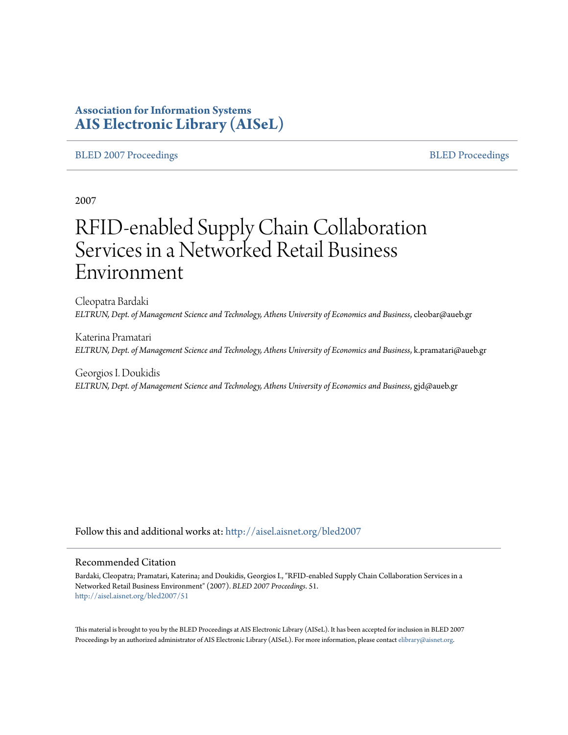### **Association for Information Systems [AIS Electronic Library \(AISeL\)](http://aisel.aisnet.org?utm_source=aisel.aisnet.org%2Fbled2007%2F51&utm_medium=PDF&utm_campaign=PDFCoverPages)**

#### [BLED 2007 Proceedings](http://aisel.aisnet.org/bled2007?utm_source=aisel.aisnet.org%2Fbled2007%2F51&utm_medium=PDF&utm_campaign=PDFCoverPages) and the state of the state of the [BLED Proceedings](http://aisel.aisnet.org/bled?utm_source=aisel.aisnet.org%2Fbled2007%2F51&utm_medium=PDF&utm_campaign=PDFCoverPages) and the BLED Proceedings and the BLED Proceedings and the BLED Proceedings and the BLED Proceedings and the BLED Proceedings and the BLED Proceedings

2007

# RFID-enabled Supply Chain Collaboration Services in a Networked Retail Business Environment

Cleopatra Bardaki *ELTRUN, Dept. of Management Science and Technology, Athens University of Economics and Business*, cleobar@aueb.gr

Katerina Pramatari *ELTRUN, Dept. of Management Science and Technology, Athens University of Economics and Business*, k.pramatari@aueb.gr

Georgios I. Doukidis *ELTRUN, Dept. of Management Science and Technology, Athens University of Economics and Business*, gjd@aueb.gr

Follow this and additional works at: [http://aisel.aisnet.org/bled2007](http://aisel.aisnet.org/bled2007?utm_source=aisel.aisnet.org%2Fbled2007%2F51&utm_medium=PDF&utm_campaign=PDFCoverPages)

#### Recommended Citation

Bardaki, Cleopatra; Pramatari, Katerina; and Doukidis, Georgios I., "RFID-enabled Supply Chain Collaboration Services in a Networked Retail Business Environment" (2007). *BLED 2007 Proceedings*. 51. [http://aisel.aisnet.org/bled2007/51](http://aisel.aisnet.org/bled2007/51?utm_source=aisel.aisnet.org%2Fbled2007%2F51&utm_medium=PDF&utm_campaign=PDFCoverPages)

This material is brought to you by the BLED Proceedings at AIS Electronic Library (AISeL). It has been accepted for inclusion in BLED 2007 Proceedings by an authorized administrator of AIS Electronic Library (AISeL). For more information, please contact [elibrary@aisnet.org](mailto:elibrary@aisnet.org%3E).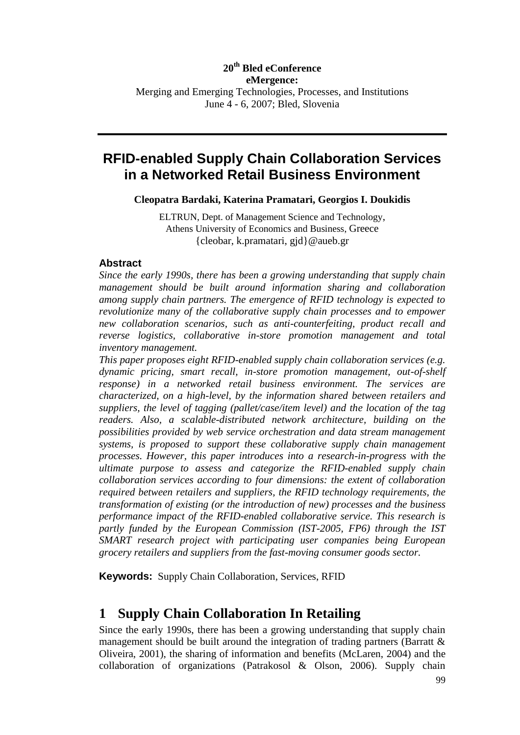### **20th Bled eConference eMergence:** Merging and Emerging Technologies, Processes, and Institutions June 4 - 6, 2007; Bled, Slovenia

### **RFID-enabled Supply Chain Collaboration Services in a Networked Retail Business Environment**

**Cleopatra Bardaki, Katerina Pramatari, Georgios I. Doukidis**

ELTRUN, Dept. of Management Science and Technology, Athens University of Economics and Business, Greece {cleobar, k.pramatari, gjd}@aueb.gr

### **Abstract**

*Since the early 1990s, there has been a growing understanding that supply chain management should be built around information sharing and collaboration among supply chain partners. The emergence of RFID technology is expected to revolutionize many of the collaborative supply chain processes and to empower new collaboration scenarios, such as anti-counterfeiting, product recall and reverse logistics, collaborative in-store promotion management and total inventory management.*

*This paper proposes eight RFID-enabled supply chain collaboration services (e.g. dynamic pricing, smart recall, in-store promotion management, out-of-shelf response) in a networked retail business environment. The services are characterized, on a high-level, by the information shared between retailers and suppliers, the level of tagging (pallet/case/item level) and the location of the tag readers. Also, a scalable-distributed network architecture, building on the possibilities provided by web service orchestration and data stream management systems, is proposed to support these collaborative supply chain management processes. However, this paper introduces into a research-in-progress with the ultimate purpose to assess and categorize the RFID-enabled supply chain collaboration services according to four dimensions: the extent of collaboration required between retailers and suppliers, the RFID technology requirements, the transformation of existing (or the introduction of new) processes and the business performance impact of the RFID-enabled collaborative service. This research is partly funded by the European Commission (IST-2005, FP6) through the IST SMART research project with participating user companies being European grocery retailers and suppliers from the fast-moving consumer goods sector.*

**Keywords:** Supply Chain Collaboration, Services, RFID

### **1 Supply Chain Collaboration In Retailing**

Since the early 1990s, there has been a growing understanding that supply chain management should be built around the integration of trading partners (Barratt & Oliveira, 2001), the sharing of information and benefits (McLaren, 2004) and the collaboration of organizations (Patrakosol & Olson, 2006). Supply chain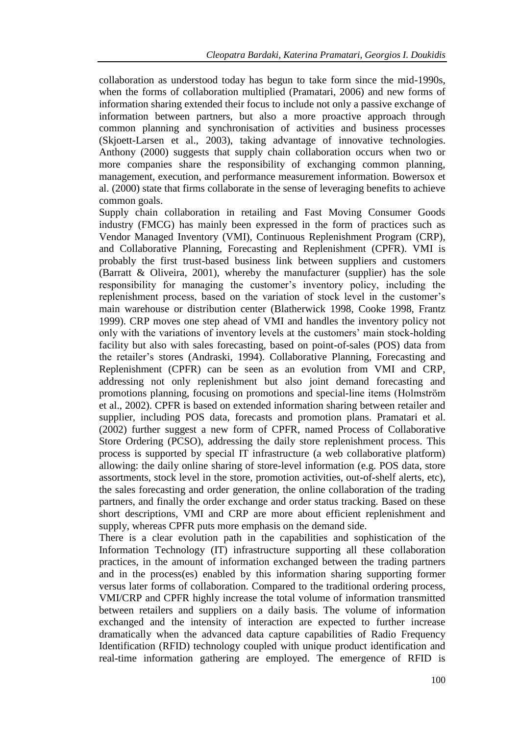collaboration as understood today has begun to take form since the mid-1990s, when the forms of collaboration multiplied (Pramatari, 2006) and new forms of information sharing extended their focus to include not only a passive exchange of information between partners, but also a more proactive approach through common planning and synchronisation of activities and business processes (Skjoett-Larsen et al., 2003), taking advantage of innovative technologies. Anthony (2000) suggests that supply chain collaboration occurs when two or more companies share the responsibility of exchanging common planning, management, execution, and performance measurement information. Bowersox et al. (2000) state that firms collaborate in the sense of leveraging benefits to achieve common goals.

Supply chain collaboration in retailing and Fast Moving Consumer Goods industry (FMCG) has mainly been expressed in the form of practices such as Vendor Managed Inventory (VMI), Continuous Replenishment Program (CRP), and Collaborative Planning, Forecasting and Replenishment (CPFR). VMI is probably the first trust-based business link between suppliers and customers (Barratt & Oliveira, 2001), whereby the manufacturer (supplier) has the sole responsibility for managing the customer's inventory policy, including the replenishment process, based on the variation of stock level in the customer's main warehouse or distribution center (Blatherwick 1998, Cooke 1998, Frantz 1999). CRP moves one step ahead of VMI and handles the inventory policy not only with the variations of inventory levels at the customers' main stock-holding facility but also with sales forecasting, based on point-of-sales (POS) data from the retailer's stores (Andraski, 1994). Collaborative Planning, Forecasting and Replenishment (CPFR) can be seen as an evolution from VMI and CRP, addressing not only replenishment but also joint demand forecasting and promotions planning, focusing on promotions and special-line items (Holmström et al., 2002). CPFR is based on extended information sharing between retailer and supplier, including POS data, forecasts and promotion plans. Pramatari et al. (2002) further suggest a new form of CPFR, named Process of Collaborative Store Ordering (PCSO), addressing the daily store replenishment process. This process is supported by special IT infrastructure (a web collaborative platform) allowing: the daily online sharing of store-level information (e.g. POS data, store assortments, stock level in the store, promotion activities, out-of-shelf alerts, etc), the sales forecasting and order generation, the online collaboration of the trading partners, and finally the order exchange and order status tracking. Based on these short descriptions, VMI and CRP are more about efficient replenishment and supply, whereas CPFR puts more emphasis on the demand side.

There is a clear evolution path in the capabilities and sophistication of the Information Technology (IT) infrastructure supporting all these collaboration practices, in the amount of information exchanged between the trading partners and in the process(es) enabled by this information sharing supporting former versus later forms of collaboration. Compared to the traditional ordering process, VMI/CRP and CPFR highly increase the total volume of information transmitted between retailers and suppliers on a daily basis. The volume of information exchanged and the intensity of interaction are expected to further increase dramatically when the advanced data capture capabilities of Radio Frequency Identification (RFID) technology coupled with unique product identification and real-time information gathering are employed. The emergence of RFID is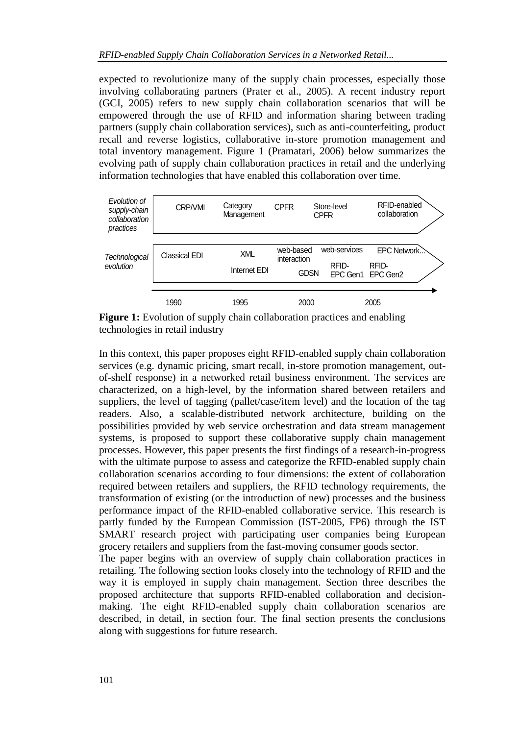expected to revolutionize many of the supply chain processes, especially those involving collaborating partners (Prater et al., 2005). A recent industry report (GCI, 2005) refers to new supply chain collaboration scenarios that will be empowered through the use of RFID and information sharing between trading partners (supply chain collaboration services), such as anti-counterfeiting, product recall and reverse logistics, collaborative in-store promotion management and total inventory management. Figure 1 (Pramatari, 2006) below summarizes the evolving path of supply chain collaboration practices in retail and the underlying information technologies that have enabled this collaboration over time.



**Figure 1:** Evolution of supply chain collaboration practices and enabling technologies in retail industry

In this context, this paper proposes eight RFID-enabled supply chain collaboration services (e.g. dynamic pricing, smart recall, in-store promotion management, outof-shelf response) in a networked retail business environment. The services are characterized, on a high-level, by the information shared between retailers and suppliers, the level of tagging (pallet/case/item level) and the location of the tag readers. Also, a scalable-distributed network architecture, building on the possibilities provided by web service orchestration and data stream management systems, is proposed to support these collaborative supply chain management processes. However, this paper presents the first findings of a research-in-progress with the ultimate purpose to assess and categorize the RFID-enabled supply chain collaboration scenarios according to four dimensions: the extent of collaboration required between retailers and suppliers, the RFID technology requirements, the transformation of existing (or the introduction of new) processes and the business performance impact of the RFID-enabled collaborative service. This research is partly funded by the European Commission (IST-2005, FP6) through the IST SMART research project with participating user companies being European grocery retailers and suppliers from the fast-moving consumer goods sector.

The paper begins with an overview of supply chain collaboration practices in retailing. The following section looks closely into the technology of RFID and the way it is employed in supply chain management. Section three describes the proposed architecture that supports RFID-enabled collaboration and decisionmaking. The eight RFID-enabled supply chain collaboration scenarios are described, in detail, in section four. The final section presents the conclusions along with suggestions for future research.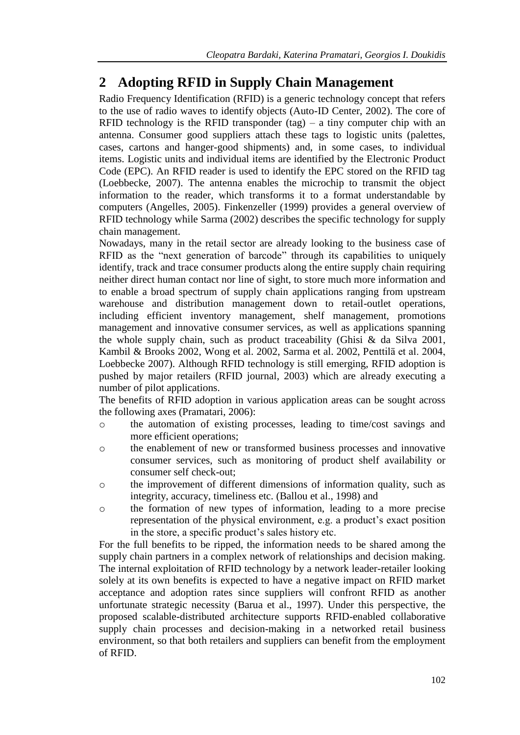## **2 Adopting RFID in Supply Chain Management**

Radio Frequency Identification (RFID) is a generic technology concept that refers to the use of radio waves to identify objects (Auto-ID Center, 2002). The core of RFID technology is the RFID transponder  $(tag) - a$  tiny computer chip with an antenna. Consumer good suppliers attach these tags to logistic units (palettes, cases, cartons and hanger-good shipments) and, in some cases, to individual items. Logistic units and individual items are identified by the Electronic Product Code (EPC). An RFID reader is used to identify the EPC stored on the RFID tag (Loebbecke, 2007). The antenna enables the microchip to transmit the object information to the reader, which transforms it to a format understandable by computers (Angelles, 2005). Finkenzeller (1999) provides a general overview of RFID technology while Sarma (2002) describes the specific technology for supply chain management.

Nowadays, many in the retail sector are already looking to the business case of RFID as the "next generation of barcode" through its capabilities to uniquely identify, track and trace consumer products along the entire supply chain requiring neither direct human contact nor line of sight, to store much more information and to enable a broad spectrum of supply chain applications ranging from upstream warehouse and distribution management down to retail-outlet operations, including efficient inventory management, shelf management, promotions management and innovative consumer services, as well as applications spanning the whole supply chain, such as product traceability (Ghisi & da Silva 2001, Kambil & Brooks 2002, Wong et al. 2002, Sarma et al. 2002, Penttilä et al. 2004, Loebbecke 2007). Although RFID technology is still emerging, RFID adoption is pushed by major retailers (RFID journal, 2003) which are already executing a number of pilot applications.

The benefits of RFID adoption in various application areas can be sought across the following axes (Pramatari, 2006):

- o the automation of existing processes, leading to time/cost savings and more efficient operations;
- o the enablement of new or transformed business processes and innovative consumer services, such as monitoring of product shelf availability or consumer self check-out;
- o the improvement of different dimensions of information quality, such as integrity, accuracy, timeliness etc. (Ballou et al., 1998) and
- o the formation of new types of information, leading to a more precise representation of the physical environment, e.g. a product's exact position in the store, a specific product's sales history etc.

For the full benefits to be ripped, the information needs to be shared among the supply chain partners in a complex network of relationships and decision making. The internal exploitation of RFID technology by a network leader-retailer looking solely at its own benefits is expected to have a negative impact on RFID market acceptance and adoption rates since suppliers will confront RFID as another unfortunate strategic necessity (Barua et al., 1997). Under this perspective, the proposed scalable-distributed architecture supports RFID-enabled collaborative supply chain processes and decision-making in a networked retail business environment, so that both retailers and suppliers can benefit from the employment of RFID.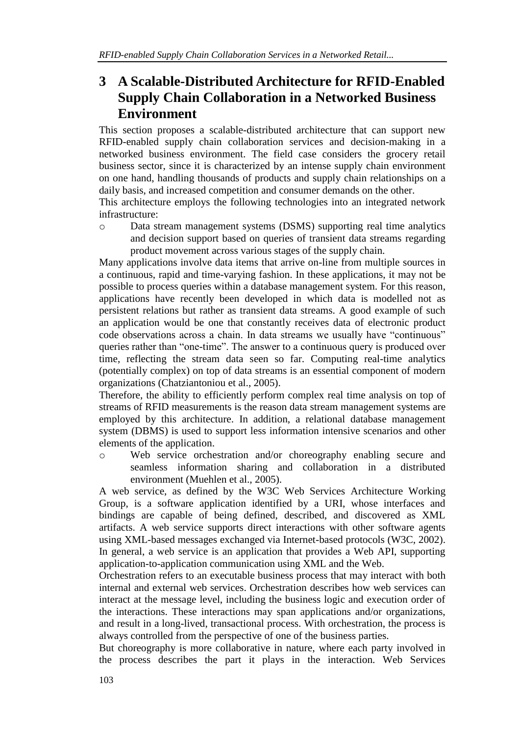## **3 A Scalable-Distributed Architecture for RFID-Enabled Supply Chain Collaboration in a Networked Business Environment**

This section proposes a scalable-distributed architecture that can support new RFID-enabled supply chain collaboration services and decision-making in a networked business environment. The field case considers the grocery retail business sector, since it is characterized by an intense supply chain environment on one hand, handling thousands of products and supply chain relationships on a daily basis, and increased competition and consumer demands on the other.

This architecture employs the following technologies into an integrated network infrastructure:

o Data stream management systems (DSMS) supporting real time analytics and decision support based on queries of transient data streams regarding product movement across various stages of the supply chain.

Many applications involve data items that arrive on-line from multiple sources in a continuous, rapid and time-varying fashion. In these applications, it may not be possible to process queries within a database management system. For this reason, applications have recently been developed in which data is modelled not as persistent relations but rather as transient data streams. A good example of such an application would be one that constantly receives data of electronic product code observations across a chain. In data streams we usually have "continuous" queries rather than "one-time". The answer to a continuous query is produced over time, reflecting the stream data seen so far. Computing real-time analytics (potentially complex) on top of data streams is an essential component of modern organizations (Chatziantoniou et al., 2005).

Therefore, the ability to efficiently perform complex real time analysis on top of streams of RFID measurements is the reason data stream management systems are employed by this architecture. In addition, a relational database management system (DBMS) is used to support less information intensive scenarios and other elements of the application.

o Web service orchestration and/or choreography enabling secure and seamless information sharing and collaboration in a distributed environment (Muehlen et al., 2005).

A web service, as defined by the W3C Web Services Architecture Working Group, is a software application identified by a URI, whose interfaces and bindings are capable of being defined, described, and discovered as XML artifacts. A web service supports direct interactions with other software agents using XML-based messages exchanged via Internet-based protocols (W3C, 2002). In general, a web service is an application that provides a Web API, supporting application-to-application communication using XML and the Web.

Orchestration refers to an executable business process that may interact with both internal and external web services. Orchestration describes how web services can interact at the message level, including the business logic and execution order of the interactions. These interactions may span applications and/or organizations, and result in a long-lived, transactional process. With orchestration, the process is always controlled from the perspective of one of the business parties.

But choreography is more collaborative in nature, where each party involved in the process describes the part it plays in the interaction. Web Services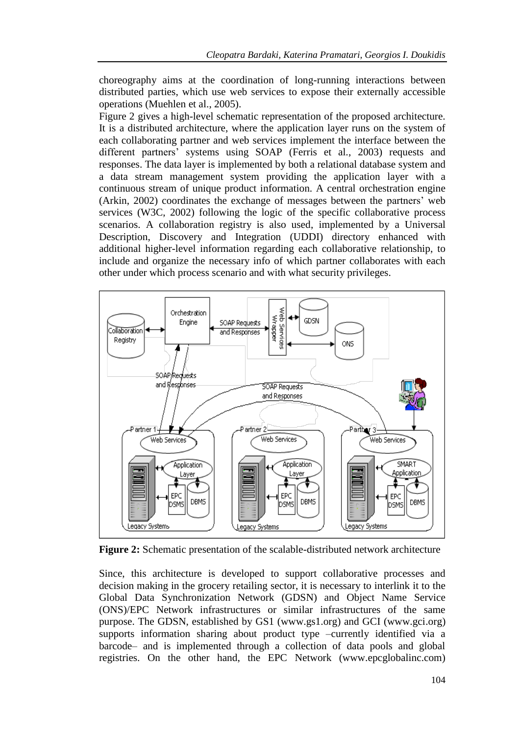choreography aims at the coordination of long-running interactions between distributed parties, which use web services to expose their externally accessible operations (Muehlen et al., 2005).

Figure 2 gives a high-level schematic representation of the proposed architecture. It is a distributed architecture, where the application layer runs on the system of each collaborating partner and web services implement the interface between the different partners' systems using SOAP (Ferris et al., 2003) requests and responses. The data layer is implemented by both a relational database system and a data stream management system providing the application layer with a continuous stream of unique product information. A central orchestration engine (Arkin, 2002) coordinates the exchange of messages between the partners' web services (W3C, 2002) following the logic of the specific collaborative process scenarios. A collaboration registry is also used, implemented by a Universal Description, Discovery and Integration (UDDI) directory enhanced with additional higher-level information regarding each collaborative relationship, to include and organize the necessary info of which partner collaborates with each other under which process scenario and with what security privileges.



**Figure 2:** Schematic presentation of the scalable-distributed network architecture

Since, this architecture is developed to support collaborative processes and decision making in the grocery retailing sector, it is necessary to interlink it to the Global Data Synchronization Network (GDSN) and Object Name Service (ONS)/EPC Network infrastructures or similar infrastructures of the same purpose. The GDSN, established by GS1 (www.gs1.org) and GCI (www.gci.org) supports information sharing about product type –currently identified via a barcode– and is implemented through a collection of data pools and global registries. On the other hand, the EPC Network (www.epcglobalinc.com)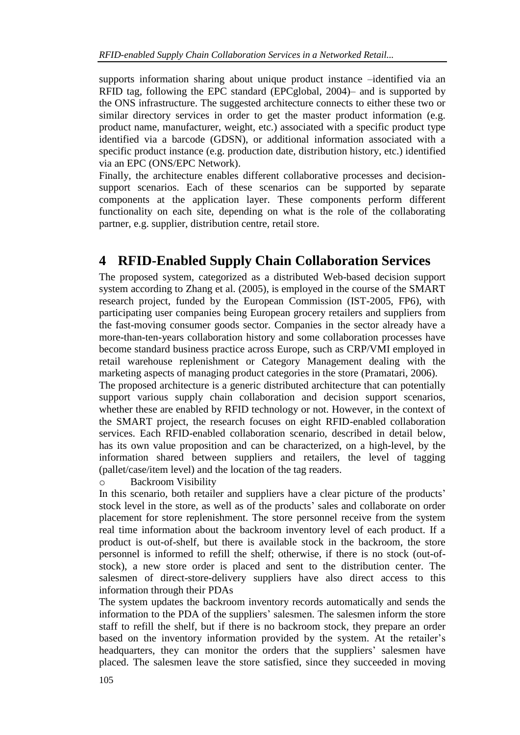supports information sharing about unique product instance –identified via an RFID tag, following the EPC standard (EPCglobal, 2004)– and is supported by the ONS infrastructure. The suggested architecture connects to either these two or similar directory services in order to get the master product information (e.g. product name, manufacturer, weight, etc.) associated with a specific product type identified via a barcode (GDSN), or additional information associated with a specific product instance (e.g. production date, distribution history, etc.) identified via an EPC (ONS/EPC Network).

Finally, the architecture enables different collaborative processes and decisionsupport scenarios. Each of these scenarios can be supported by separate components at the application layer. These components perform different functionality on each site, depending on what is the role of the collaborating partner, e.g. supplier, distribution centre, retail store.

## **4 RFID-Enabled Supply Chain Collaboration Services**

The proposed system, categorized as a distributed Web-based decision support system according to Zhang et al. (2005), is employed in the course of the SMART research project, funded by the European Commission (IST-2005, FP6), with participating user companies being European grocery retailers and suppliers from the fast-moving consumer goods sector. Companies in the sector already have a more-than-ten-years collaboration history and some collaboration processes have become standard business practice across Europe, such as CRP/VMI employed in retail warehouse replenishment or Category Management dealing with the marketing aspects of managing product categories in the store (Pramatari, 2006).

The proposed architecture is a generic distributed architecture that can potentially support various supply chain collaboration and decision support scenarios, whether these are enabled by RFID technology or not. However, in the context of the SMART project, the research focuses on eight RFID-enabled collaboration services. Each RFID-enabled collaboration scenario, described in detail below, has its own value proposition and can be characterized, on a high-level, by the information shared between suppliers and retailers, the level of tagging (pallet/case/item level) and the location of the tag readers.

o Backroom Visibility

In this scenario, both retailer and suppliers have a clear picture of the products' stock level in the store, as well as of the products' sales and collaborate on order placement for store replenishment. The store personnel receive from the system real time information about the backroom inventory level of each product. If a product is out-of-shelf, but there is available stock in the backroom, the store personnel is informed to refill the shelf; otherwise, if there is no stock (out-ofstock), a new store order is placed and sent to the distribution center. The salesmen of direct-store-delivery suppliers have also direct access to this information through their PDAs

The system updates the backroom inventory records automatically and sends the information to the PDA of the suppliers' salesmen. The salesmen inform the store staff to refill the shelf, but if there is no backroom stock, they prepare an order based on the inventory information provided by the system. At the retailer's headquarters, they can monitor the orders that the suppliers' salesmen have placed. The salesmen leave the store satisfied, since they succeeded in moving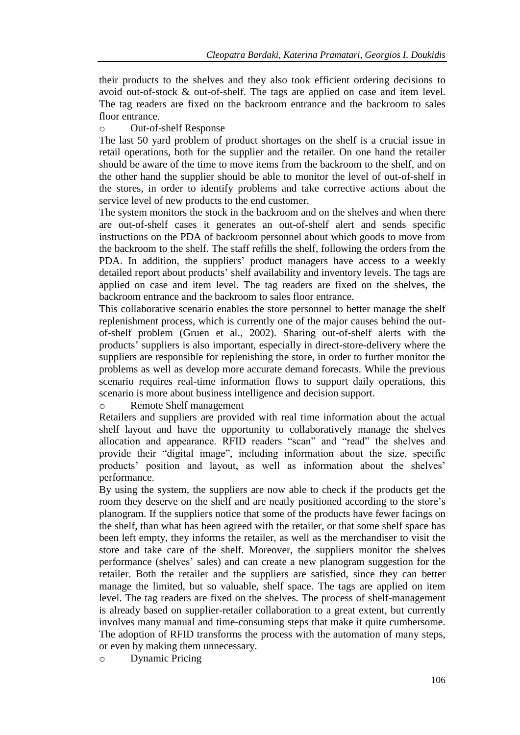their products to the shelves and they also took efficient ordering decisions to avoid out-of-stock & out-of-shelf. The tags are applied on case and item level. The tag readers are fixed on the backroom entrance and the backroom to sales floor entrance.

### o Out-of-shelf Response

The last 50 yard problem of product shortages on the shelf is a crucial issue in retail operations, both for the supplier and the retailer. On one hand the retailer should be aware of the time to move items from the backroom to the shelf, and on the other hand the supplier should be able to monitor the level of out-of-shelf in the stores, in order to identify problems and take corrective actions about the service level of new products to the end customer.

The system monitors the stock in the backroom and on the shelves and when there are out-of-shelf cases it generates an out-of-shelf alert and sends specific instructions on the PDA of backroom personnel about which goods to move from the backroom to the shelf. The staff refills the shelf, following the orders from the PDA. In addition, the suppliers' product managers have access to a weekly detailed report about products' shelf availability and inventory levels. The tags are applied on case and item level. The tag readers are fixed on the shelves, the backroom entrance and the backroom to sales floor entrance.

This collaborative scenario enables the store personnel to better manage the shelf replenishment process, which is currently one of the major causes behind the outof-shelf problem (Gruen et al., 2002). Sharing out-of-shelf alerts with the products' suppliers is also important, especially in direct-store-delivery where the suppliers are responsible for replenishing the store, in order to further monitor the problems as well as develop more accurate demand forecasts. While the previous scenario requires real-time information flows to support daily operations, this scenario is more about business intelligence and decision support.

o Remote Shelf management

Retailers and suppliers are provided with real time information about the actual shelf layout and have the opportunity to collaboratively manage the shelves allocation and appearance. RFID readers "scan" and "read" the shelves and provide their "digital image", including information about the size, specific products' position and layout, as well as information about the shelves' performance.

By using the system, the suppliers are now able to check if the products get the room they deserve on the shelf and are neatly positioned according to the store's planogram. If the suppliers notice that some of the products have fewer facings on the shelf, than what has been agreed with the retailer, or that some shelf space has been left empty, they informs the retailer, as well as the merchandiser to visit the store and take care of the shelf. Moreover, the suppliers monitor the shelves performance (shelves' sales) and can create a new planogram suggestion for the retailer. Both the retailer and the suppliers are satisfied, since they can better manage the limited, but so valuable, shelf space. The tags are applied on item level. The tag readers are fixed on the shelves. The process of shelf-management is already based on supplier-retailer collaboration to a great extent, but currently involves many manual and time-consuming steps that make it quite cumbersome. The adoption of RFID transforms the process with the automation of many steps, or even by making them unnecessary.

o Dynamic Pricing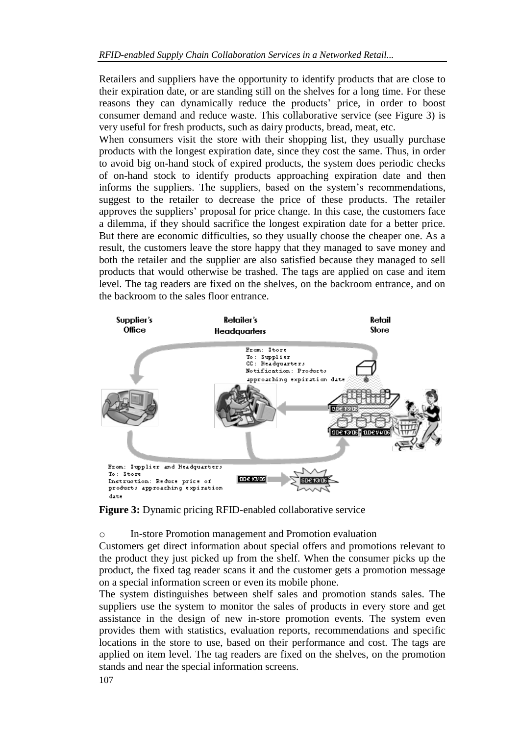Retailers and suppliers have the opportunity to identify products that are close to their expiration date, or are standing still on the shelves for a long time. For these reasons they can dynamically reduce the products' price, in order to boost consumer demand and reduce waste. This collaborative service (see Figure 3) is very useful for fresh products, such as dairy products, bread, meat, etc.

When consumers visit the store with their shopping list, they usually purchase products with the longest expiration date, since they cost the same. Thus, in order to avoid big on-hand stock of expired products, the system does periodic checks of on-hand stock to identify products approaching expiration date and then informs the suppliers. The suppliers, based on the system's recommendations, suggest to the retailer to decrease the price of these products. The retailer approves the suppliers' proposal for price change. In this case, the customers face a dilemma, if they should sacrifice the longest expiration date for a better price. But there are economic difficulties, so they usually choose the cheaper one. As a result, the customers leave the store happy that they managed to save money and both the retailer and the supplier are also satisfied because they managed to sell products that would otherwise be trashed. The tags are applied on case and item level. The tag readers are fixed on the shelves, on the backroom entrance, and on the backroom to the sales floor entrance.



**Figure 3:** Dynamic pricing RFID-enabled collaborative service

o In-store Promotion management and Promotion evaluation

Customers get direct information about special offers and promotions relevant to the product they just picked up from the shelf. When the consumer picks up the product, the fixed tag reader scans it and the customer gets a promotion message on a special information screen or even its mobile phone.

The system distinguishes between shelf sales and promotion stands sales. The suppliers use the system to monitor the sales of products in every store and get assistance in the design of new in-store promotion events. The system even provides them with statistics, evaluation reports, recommendations and specific locations in the store to use, based on their performance and cost. The tags are applied on item level. The tag readers are fixed on the shelves, on the promotion stands and near the special information screens.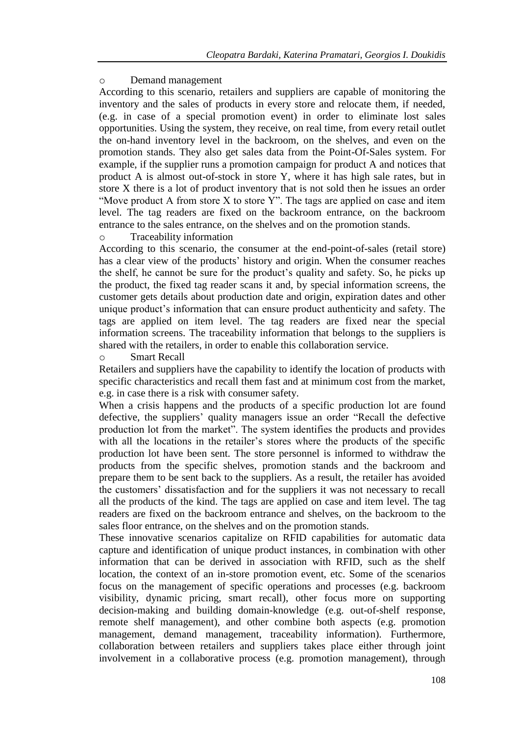#### o Demand management

According to this scenario, retailers and suppliers are capable of monitoring the inventory and the sales of products in every store and relocate them, if needed, (e.g. in case of a special promotion event) in order to eliminate lost sales opportunities. Using the system, they receive, on real time, from every retail outlet the on-hand inventory level in the backroom, on the shelves, and even on the promotion stands. They also get sales data from the Point-Of-Sales system. For example, if the supplier runs a promotion campaign for product A and notices that product A is almost out-of-stock in store Y, where it has high sale rates, but in store X there is a lot of product inventory that is not sold then he issues an order "Move product A from store X to store Y". The tags are applied on case and item level. The tag readers are fixed on the backroom entrance, on the backroom entrance to the sales entrance, on the shelves and on the promotion stands.

### o Traceability information

According to this scenario, the consumer at the end-point-of-sales (retail store) has a clear view of the products' history and origin. When the consumer reaches the shelf, he cannot be sure for the product's quality and safety. So, he picks up the product, the fixed tag reader scans it and, by special information screens, the customer gets details about production date and origin, expiration dates and other unique product's information that can ensure product authenticity and safety. The tags are applied on item level. The tag readers are fixed near the special information screens. The traceability information that belongs to the suppliers is shared with the retailers, in order to enable this collaboration service.

#### o Smart Recall

Retailers and suppliers have the capability to identify the location of products with specific characteristics and recall them fast and at minimum cost from the market, e.g. in case there is a risk with consumer safety.

When a crisis happens and the products of a specific production lot are found defective, the suppliers' quality managers issue an order "Recall the defective production lot from the market". The system identifies the products and provides with all the locations in the retailer's stores where the products of the specific production lot have been sent. The store personnel is informed to withdraw the products from the specific shelves, promotion stands and the backroom and prepare them to be sent back to the suppliers. As a result, the retailer has avoided the customers' dissatisfaction and for the suppliers it was not necessary to recall all the products of the kind. The tags are applied on case and item level. The tag readers are fixed on the backroom entrance and shelves, on the backroom to the sales floor entrance, on the shelves and on the promotion stands.

These innovative scenarios capitalize on RFID capabilities for automatic data capture and identification of unique product instances, in combination with other information that can be derived in association with RFID, such as the shelf location, the context of an in-store promotion event, etc. Some of the scenarios focus on the management of specific operations and processes (e.g. backroom visibility, dynamic pricing, smart recall), other focus more on supporting decision-making and building domain-knowledge (e.g. out-of-shelf response, remote shelf management), and other combine both aspects (e.g. promotion management, demand management, traceability information). Furthermore, collaboration between retailers and suppliers takes place either through joint involvement in a collaborative process (e.g. promotion management), through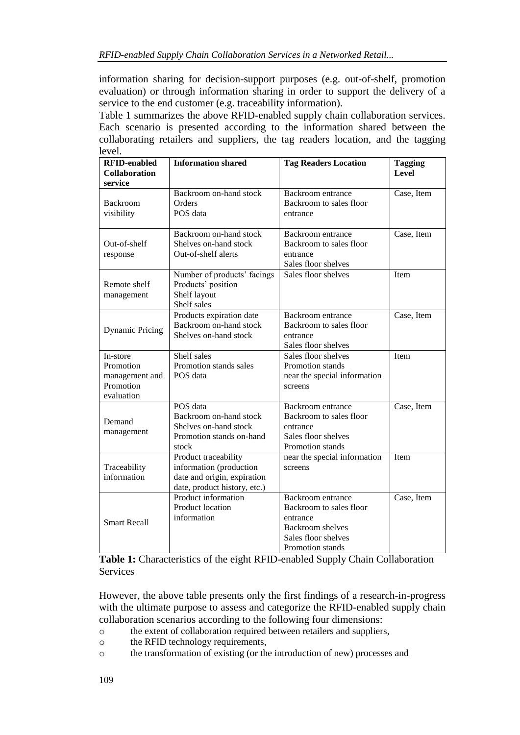information sharing for decision-support purposes (e.g. out-of-shelf, promotion evaluation) or through information sharing in order to support the delivery of a service to the end customer (e.g. traceability information).

Table 1 summarizes the above RFID-enabled supply chain collaboration services. Each scenario is presented according to the information shared between the collaborating retailers and suppliers, the tag readers location, and the tagging level.

| <b>RFID-enabled</b><br><b>Collaboration</b><br>service             | <b>Information shared</b>                                                                                      | <b>Tag Readers Location</b>                                                                                                    | <b>Tagging</b><br><b>Level</b> |
|--------------------------------------------------------------------|----------------------------------------------------------------------------------------------------------------|--------------------------------------------------------------------------------------------------------------------------------|--------------------------------|
| <b>Backroom</b><br>visibility                                      | Backroom on-hand stock<br>Orders<br>POS data                                                                   | Backroom entrance<br>Backroom to sales floor<br>entrance                                                                       | Case, Item                     |
| Out-of-shelf<br>response                                           | Backroom on-hand stock<br>Shelves on-hand stock<br>Out-of-shelf alerts                                         | Backroom entrance<br>Backroom to sales floor<br>entrance<br>Sales floor shelves                                                | Case, Item                     |
| Remote shelf<br>management                                         | Number of products' facings<br>Products' position<br>Shelf layout<br>Shelf sales                               | Sales floor shelves                                                                                                            | Item                           |
| <b>Dynamic Pricing</b>                                             | Products expiration date<br>Backroom on-hand stock<br>Shelves on-hand stock                                    | Backroom entrance<br>Backroom to sales floor<br>entrance<br>Sales floor shelves                                                | Case, Item                     |
| In-store<br>Promotion<br>management and<br>Promotion<br>evaluation | Shelf sales<br>Promotion stands sales<br>POS data                                                              | Sales floor shelves<br>Promotion stands<br>near the special information<br>screens                                             | Item                           |
| Demand<br>management                                               | POS data<br>Backroom on-hand stock<br>Shelves on-hand stock<br>Promotion stands on-hand<br>stock               | Backroom entrance<br>Backroom to sales floor<br>entrance<br>Sales floor shelves<br>Promotion stands                            | Case, Item                     |
| Traceability<br>information                                        | Product traceability<br>information (production<br>date and origin, expiration<br>date, product history, etc.) | near the special information<br>screens                                                                                        | Item                           |
| <b>Smart Recall</b>                                                | Product information<br>Product location<br>information                                                         | Backroom entrance<br>Backroom to sales floor<br>entrance<br><b>Backroom</b> shelves<br>Sales floor shelves<br>Promotion stands | Case, Item                     |

**Table 1:** Characteristics of the eight RFID-enabled Supply Chain Collaboration **Services** 

However, the above table presents only the first findings of a research-in-progress with the ultimate purpose to assess and categorize the RFID-enabled supply chain collaboration scenarios according to the following four dimensions:

- o the extent of collaboration required between retailers and suppliers,
- o the RFID technology requirements,
- o the transformation of existing (or the introduction of new) processes and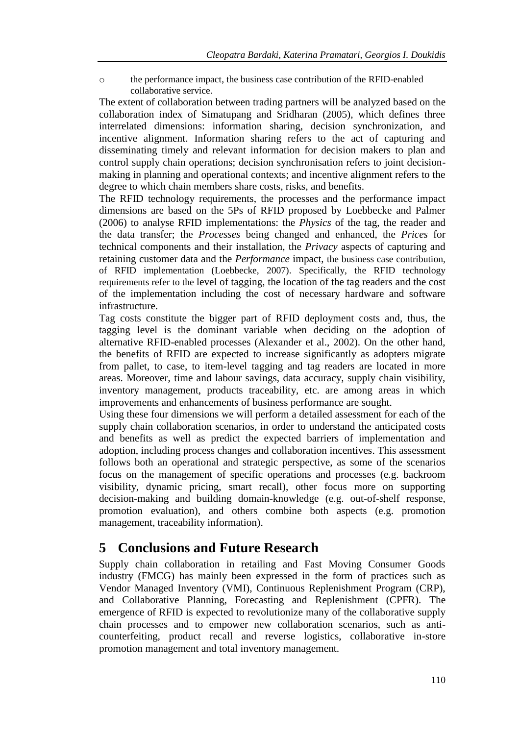o the performance impact, the business case contribution of the RFID-enabled collaborative service.

The extent of collaboration between trading partners will be analyzed based on the collaboration index of Simatupang and Sridharan (2005), which defines three interrelated dimensions: information sharing, decision synchronization, and incentive alignment. Information sharing refers to the act of capturing and disseminating timely and relevant information for decision makers to plan and control supply chain operations; decision synchronisation refers to joint decisionmaking in planning and operational contexts; and incentive alignment refers to the degree to which chain members share costs, risks, and benefits.

The RFID technology requirements, the processes and the performance impact dimensions are based on the 5Ps of RFID proposed by Loebbecke and Palmer (2006) to analyse RFID implementations: the *Physics* of the tag, the reader and the data transfer; the *Processes* being changed and enhanced, the *Prices* for technical components and their installation, the *Privacy* aspects of capturing and retaining customer data and the *Performance* impact, the business case contribution, of RFID implementation (Loebbecke, 2007). Specifically, the RFID technology requirements refer to the level of tagging, the location of the tag readers and the cost of the implementation including the cost of necessary hardware and software infrastructure.

Tag costs constitute the bigger part of RFID deployment costs and, thus, the tagging level is the dominant variable when deciding on the adoption of alternative RFID-enabled processes (Alexander et al., 2002). On the other hand, the benefits of RFID are expected to increase significantly as adopters migrate from pallet, to case, to item-level tagging and tag readers are located in more areas. Moreover, time and labour savings, data accuracy, supply chain visibility, inventory management, products traceability, etc. are among areas in which improvements and enhancements of business performance are sought.

Using these four dimensions we will perform a detailed assessment for each of the supply chain collaboration scenarios, in order to understand the anticipated costs and benefits as well as predict the expected barriers of implementation and adoption, including process changes and collaboration incentives. This assessment follows both an operational and strategic perspective, as some of the scenarios focus on the management of specific operations and processes (e.g. backroom visibility, dynamic pricing, smart recall), other focus more on supporting decision-making and building domain-knowledge (e.g. out-of-shelf response, promotion evaluation), and others combine both aspects (e.g. promotion management, traceability information).

### **5 Conclusions and Future Research**

Supply chain collaboration in retailing and Fast Moving Consumer Goods industry (FMCG) has mainly been expressed in the form of practices such as Vendor Managed Inventory (VMI), Continuous Replenishment Program (CRP), and Collaborative Planning, Forecasting and Replenishment (CPFR). The emergence of RFID is expected to revolutionize many of the collaborative supply chain processes and to empower new collaboration scenarios, such as anticounterfeiting, product recall and reverse logistics, collaborative in-store promotion management and total inventory management.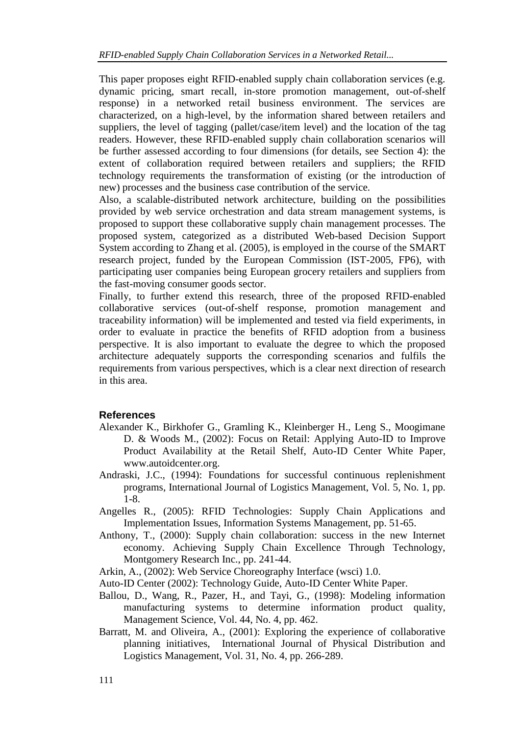This paper proposes eight RFID-enabled supply chain collaboration services (e.g. dynamic pricing, smart recall, in-store promotion management, out-of-shelf response) in a networked retail business environment. The services are characterized, on a high-level, by the information shared between retailers and suppliers, the level of tagging (pallet/case/item level) and the location of the tag readers. However, these RFID-enabled supply chain collaboration scenarios will be further assessed according to four dimensions (for details, see Section 4): the extent of collaboration required between retailers and suppliers; the RFID technology requirements the transformation of existing (or the introduction of new) processes and the business case contribution of the service.

Also, a scalable-distributed network architecture, building on the possibilities provided by web service orchestration and data stream management systems, is proposed to support these collaborative supply chain management processes. The proposed system, categorized as a distributed Web-based Decision Support System according to Zhang et al. (2005), is employed in the course of the SMART research project, funded by the European Commission (IST-2005, FP6), with participating user companies being European grocery retailers and suppliers from the fast-moving consumer goods sector.

Finally, to further extend this research, three of the proposed RFID-enabled collaborative services (out-of-shelf response, promotion management and traceability information) will be implemented and tested via field experiments, in order to evaluate in practice the benefits of RFID adoption from a business perspective. It is also important to evaluate the degree to which the proposed architecture adequately supports the corresponding scenarios and fulfils the requirements from various perspectives, which is a clear next direction of research in this area.

### **References**

- Alexander K., Birkhofer G., Gramling K., Kleinberger H., Leng S., Moogimane D. & Woods M., (2002): Focus on Retail: Applying Auto-ID to Improve Product Availability at the Retail Shelf, Auto-ID Center White Paper, www.autoidcenter.org.
- Andraski, J.C., (1994): Foundations for successful continuous replenishment programs, International Journal of Logistics Management, Vol. 5, No. 1, pp. 1-8.
- Angelles R., (2005): RFID Technologies: Supply Chain Applications and Implementation Issues, Information Systems Management, pp. 51-65.
- Anthony, T., (2000): Supply chain collaboration: success in the new Internet economy. Achieving Supply Chain Excellence Through Technology, Montgomery Research Inc., pp. 241-44.
- Arkin, A., (2002): Web Service Choreography Interface (wsci) 1.0.
- Auto-ID Center (2002): Technology Guide, Auto-ID Center White Paper.
- Ballou, D., Wang, R., Pazer, H., and Tayi, G., (1998): Modeling information manufacturing systems to determine information product quality, Management Science, Vol. 44, No. 4, pp. 462.
- Barratt, M. and Oliveira, A., (2001): Exploring the experience of collaborative planning initiatives, International Journal of Physical Distribution and Logistics Management, Vol. 31, No. 4, pp. 266-289.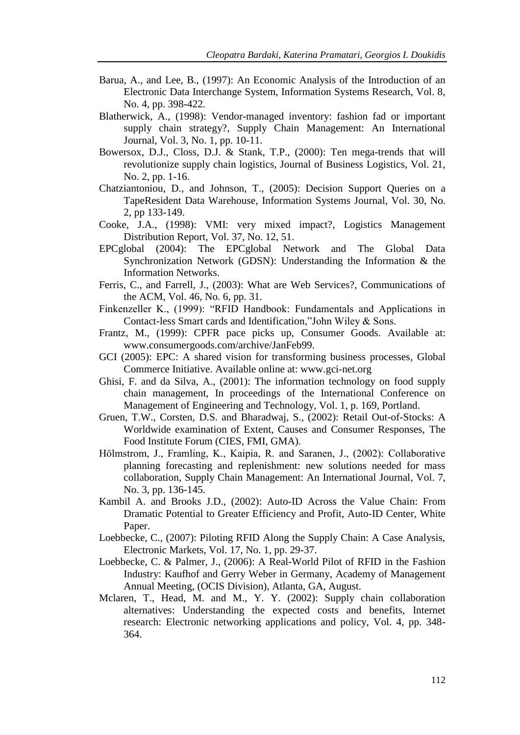- Barua, A., and Lee, B., (1997): An Economic Analysis of the Introduction of an Electronic Data Interchange System, Information Systems Research, Vol. 8, No. 4, pp. 398-422.
- Blatherwick, A., (1998): [Vendor-managed inventory: fashion fad or important](http://www.emeraldinsight.com/Insight/viewContentItem.do?contentType=Article&contentId=858143)  [supply chain strategy?,](http://www.emeraldinsight.com/Insight/viewContentItem.do?contentType=Article&contentId=858143) Supply Chain Management: An International Journal, Vol. 3, No. 1, pp. 10-11.
- Bowersox, D.J., Closs, D.J. & Stank, T.P., (2000): Ten mega-trends that will revolutionize supply chain logistics, Journal of Business Logistics, Vol. 21, No. 2, pp. 1-16.
- Chatziantoniou, D., and Johnson, T., (2005): Decision Support Queries on a TapeResident Data Warehouse, Information Systems Journal, Vol. 30, No. 2, pp 133-149.
- Cooke, J.A., (1998): VMI: very mixed impact?, Logistics Management Distribution Report, Vol. 37, No. 12, 51.
- EPCglobal (2004): The EPCglobal Network and The Global Data Synchronization Network (GDSN): Understanding the Information & the Information Networks.
- Ferris, C., and Farrell, J., (2003): What are Web Services?, Communications of the ACM, Vol. 46, No. 6, pp. 31.
- Finkenzeller K., (1999): "RFID Handbook: Fundamentals and Applications in Contact-less Smart cards and Identification,"John Wiley & Sons.
- Frantz, M., (1999): CPFR pace picks up, Consumer Goods. Available at: www.consumergoods.com/archive/JanFeb99.
- GCI (2005): EPC: A shared vision for transforming business processes, Global Commerce Initiative. Available online at: www.gci-net.org
- Ghisi, F. and da Silva, A., (2001): The information technology on food supply chain management, In proceedings of the International Conference on Management of Engineering and Technology, Vol. 1, p. 169, Portland.
- Gruen, T.W., Corsten, D.S. and Bharadwaj, S., (2002): Retail Out-of-Stocks: A Worldwide examination of Extent, Causes and Consumer Responses, The Food Institute Forum (CIES, FMI, GMA).
- Hölmstrom, J., Framling, K., Kaipia, R. and Saranen, J., (2002): Collaborative planning forecasting and replenishment: new solutions needed for mass collaboration, Supply Chain Management: An International Journal, Vol. 7, No. 3, pp. 136-145.
- Kambil A. and Brooks J.D., (2002): Auto-ID Across the Value Chain: From Dramatic Potential to Greater Efficiency and Profit, Auto-ID Center, White Paper.
- Loebbecke, C., (2007): Piloting RFID Along the Supply Chain: A Case Analysis, Electronic Markets, Vol. 17, No. 1, pp. 29-37.
- Loebbecke, C. & Palmer, J., (2006): A Real-World Pilot of RFID in the Fashion Industry: Kaufhof and Gerry Weber in Germany, Academy of Management Annual Meeting, (OCIS Division), Atlanta, GA, August.
- Mclaren, T., Head, M. and M., Y. Y. (2002): Supply chain collaboration alternatives: Understanding the expected costs and benefits, Internet research: Electronic networking applications and policy, Vol. 4, pp. 348- 364.